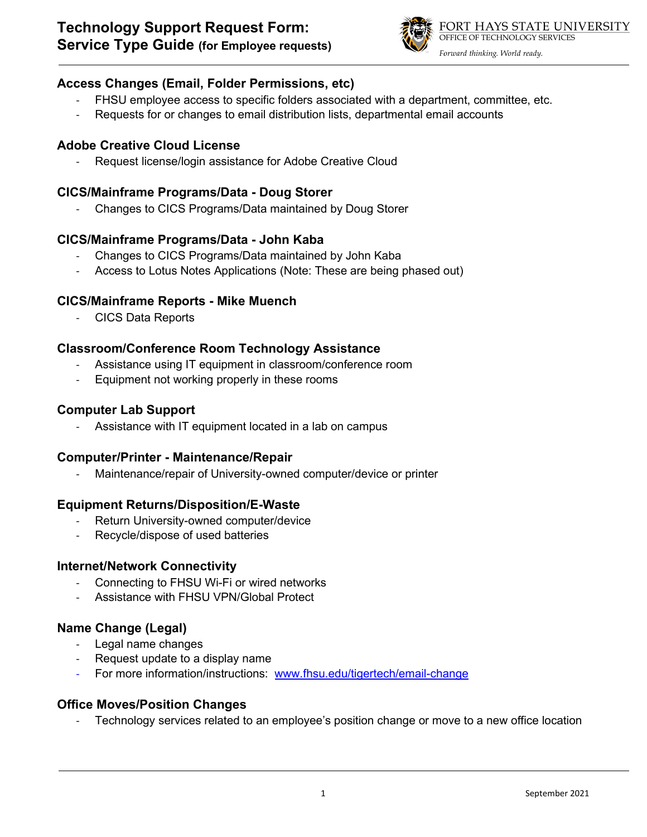

#### **Access Changes (Email, Folder Permissions, etc)**

- FHSU employee access to specific folders associated with a department, committee, etc.
- Requests for or changes to email distribution lists, departmental email accounts

### **Adobe Creative Cloud License**

Request license/login assistance for Adobe Creative Cloud

#### **CICS/Mainframe Programs/Data - Doug Storer**

- Changes to CICS Programs/Data maintained by Doug Storer

#### **CICS/Mainframe Programs/Data - John Kaba**

- Changes to CICS Programs/Data maintained by John Kaba
- Access to Lotus Notes Applications (Note: These are being phased out)

#### **CICS/Mainframe Reports - Mike Muench**

- CICS Data Reports

#### **Classroom/Conference Room Technology Assistance**

- Assistance using IT equipment in classroom/conference room
- Equipment not working properly in these rooms

## **Computer Lab Support**

Assistance with IT equipment located in a lab on campus

#### **Computer/Printer - Maintenance/Repair**

Maintenance/repair of University-owned computer/device or printer

#### **Equipment Returns/Disposition/E-Waste**

- Return University-owned computer/device
- Recycle/dispose of used batteries

#### **Internet/Network Connectivity**

- Connecting to FHSU Wi-Fi or wired networks
- Assistance with FHSU VPN/Global Protect

# **Name Change (Legal)**

- Legal name changes
- Request update to a display name
- For more information/instructions: [www.fhsu.edu/tigertech/email-change](http://www.fhsu.edu/tigertech/email-change)

#### **Office Moves/Position Changes**

Technology services related to an employee's position change or move to a new office location